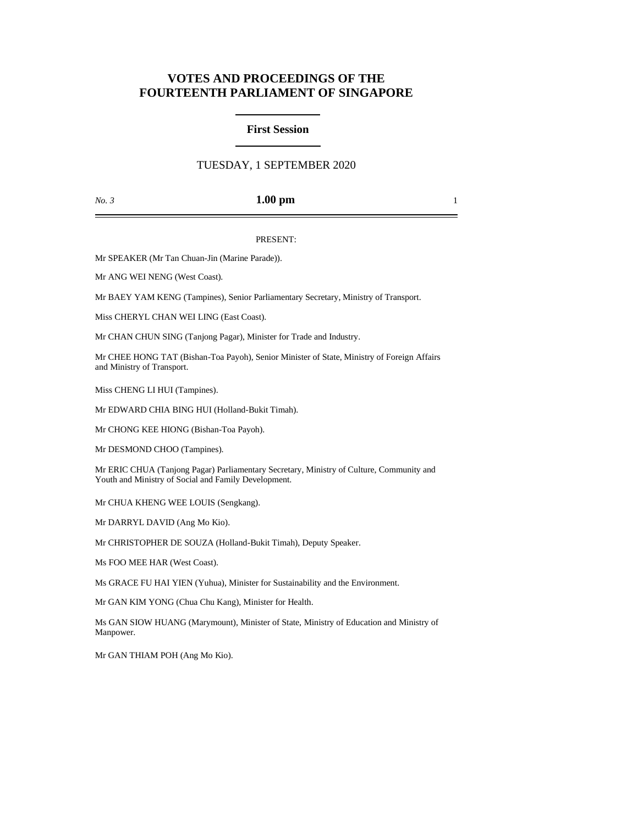# **VOTES AND PROCEEDINGS OF THE FOURTEENTH PARLIAMENT OF SINGAPORE**

## **First Session**

# TUESDAY, 1 SEPTEMBER 2020

### *No. 3* **1.00 pm** 1

#### PRESENT:

Mr SPEAKER (Mr Tan Chuan-Jin (Marine Parade)).

Mr ANG WEI NENG (West Coast).

Mr BAEY YAM KENG (Tampines), Senior Parliamentary Secretary, Ministry of Transport.

Miss CHERYL CHAN WEI LING (East Coast).

Mr CHAN CHUN SING (Tanjong Pagar), Minister for Trade and Industry.

Mr CHEE HONG TAT (Bishan-Toa Payoh), Senior Minister of State, Ministry of Foreign Affairs and Ministry of Transport.

Miss CHENG LI HUI (Tampines).

Mr EDWARD CHIA BING HUI (Holland-Bukit Timah).

Mr CHONG KEE HIONG (Bishan-Toa Payoh).

Mr DESMOND CHOO (Tampines).

Mr ERIC CHUA (Tanjong Pagar) Parliamentary Secretary, Ministry of Culture, Community and Youth and Ministry of Social and Family Development.

Mr CHUA KHENG WEE LOUIS (Sengkang).

Mr DARRYL DAVID (Ang Mo Kio).

Mr CHRISTOPHER DE SOUZA (Holland-Bukit Timah), Deputy Speaker.

Ms FOO MEE HAR (West Coast).

Ms GRACE FU HAI YIEN (Yuhua), Minister for Sustainability and the Environment.

Mr GAN KIM YONG (Chua Chu Kang), Minister for Health.

Ms GAN SIOW HUANG (Marymount), Minister of State, Ministry of Education and Ministry of Manpower.

Mr GAN THIAM POH (Ang Mo Kio).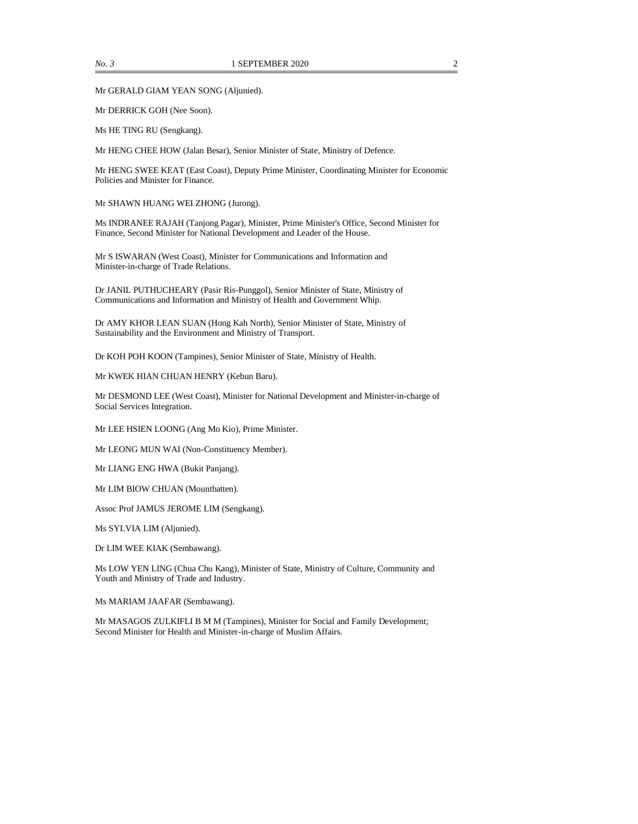Mr GERALD GIAM YEAN SONG (Aljunied).

Mr DERRICK GOH (Nee Soon).

Ms HE TING RU (Sengkang).

Mr HENG CHEE HOW (Jalan Besar), Senior Minister of State, Ministry of Defence.

Mr HENG SWEE KEAT (East Coast), Deputy Prime Minister, Coordinating Minister for Economic Policies and Minister for Finance.

Mr SHAWN HUANG WEI ZHONG (Jurong).

Ms INDRANEE RAJAH (Tanjong Pagar), Minister, Prime Minister's Office, Second Minister for Finance, Second Minister for National Development and Leader of the House.

Mr S ISWARAN (West Coast), Minister for Communications and Information and Minister-in-charge of Trade Relations.

Dr JANIL PUTHUCHEARY (Pasir Ris-Punggol), Senior Minister of State, Ministry of Communications and Information and Ministry of Health and Government Whip.

Dr AMY KHOR LEAN SUAN (Hong Kah North), Senior Minister of State, Ministry of Sustainability and the Environment and Ministry of Transport.

Dr KOH POH KOON (Tampines), Senior Minister of State, Ministry of Health.

Mr KWEK HIAN CHUAN HENRY (Kebun Baru).

Mr DESMOND LEE (West Coast), Minister for National Development and Minister-in-charge of Social Services Integration.

Mr LEE HSIEN LOONG (Ang Mo Kio), Prime Minister.

Mr LEONG MUN WAI (Non-Constituency Member).

Mr LIANG ENG HWA (Bukit Panjang).

Mr LIM BIOW CHUAN (Mountbatten).

Assoc Prof JAMUS JEROME LIM (Sengkang).

Ms SYLVIA LIM (Aljunied).

Dr LIM WEE KIAK (Sembawang).

Ms LOW YEN LING (Chua Chu Kang), Minister of State, Ministry of Culture, Community and Youth and Ministry of Trade and Industry.

Ms MARIAM JAAFAR (Sembawang).

Mr MASAGOS ZULKIFLI B M M (Tampines), Minister for Social and Family Development; Second Minister for Health and Minister-in-charge of Muslim Affairs.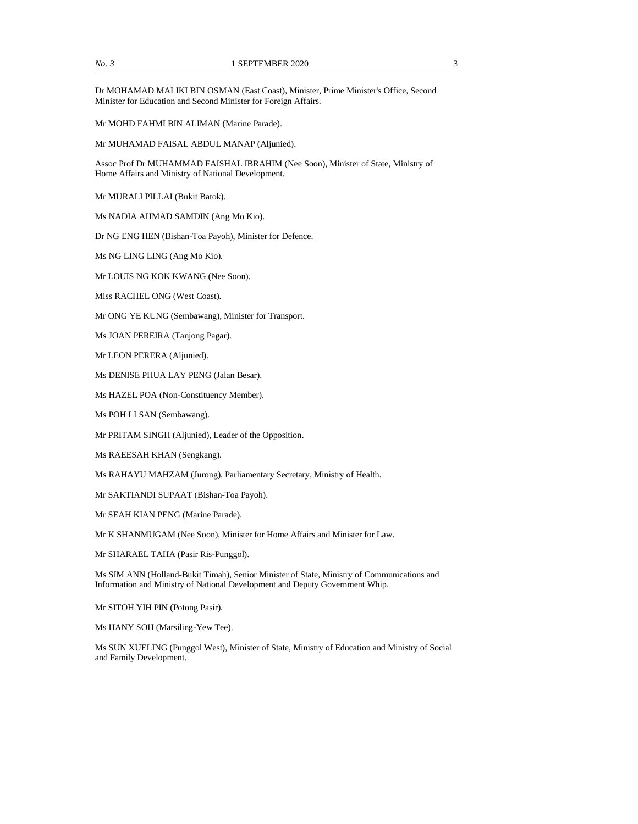Dr MOHAMAD MALIKI BIN OSMAN (East Coast), Minister, Prime Minister's Office, Second Minister for Education and Second Minister for Foreign Affairs.

Mr MOHD FAHMI BIN ALIMAN (Marine Parade).

Mr MUHAMAD FAISAL ABDUL MANAP (Aljunied).

Assoc Prof Dr MUHAMMAD FAISHAL IBRAHIM (Nee Soon), Minister of State, Ministry of Home Affairs and Ministry of National Development.

Mr MURALI PILLAI (Bukit Batok).

Ms NADIA AHMAD SAMDIN (Ang Mo Kio).

Dr NG ENG HEN (Bishan-Toa Payoh), Minister for Defence.

Ms NG LING LING (Ang Mo Kio).

Mr LOUIS NG KOK KWANG (Nee Soon).

Miss RACHEL ONG (West Coast).

Mr ONG YE KUNG (Sembawang), Minister for Transport.

Ms JOAN PEREIRA (Tanjong Pagar).

Mr LEON PERERA (Aljunied).

Ms DENISE PHUA LAY PENG (Jalan Besar).

Ms HAZEL POA (Non-Constituency Member).

Ms POH LI SAN (Sembawang).

Mr PRITAM SINGH (Aljunied), Leader of the Opposition.

Ms RAEESAH KHAN (Sengkang).

Ms RAHAYU MAHZAM (Jurong), Parliamentary Secretary, Ministry of Health.

Mr SAKTIANDI SUPAAT (Bishan-Toa Payoh).

Mr SEAH KIAN PENG (Marine Parade).

Mr K SHANMUGAM (Nee Soon), Minister for Home Affairs and Minister for Law.

Mr SHARAEL TAHA (Pasir Ris-Punggol).

Ms SIM ANN (Holland-Bukit Timah), Senior Minister of State, Ministry of Communications and Information and Ministry of National Development and Deputy Government Whip.

Mr SITOH YIH PIN (Potong Pasir).

Ms HANY SOH (Marsiling-Yew Tee).

Ms SUN XUELING (Punggol West), Minister of State, Ministry of Education and Ministry of Social and Family Development.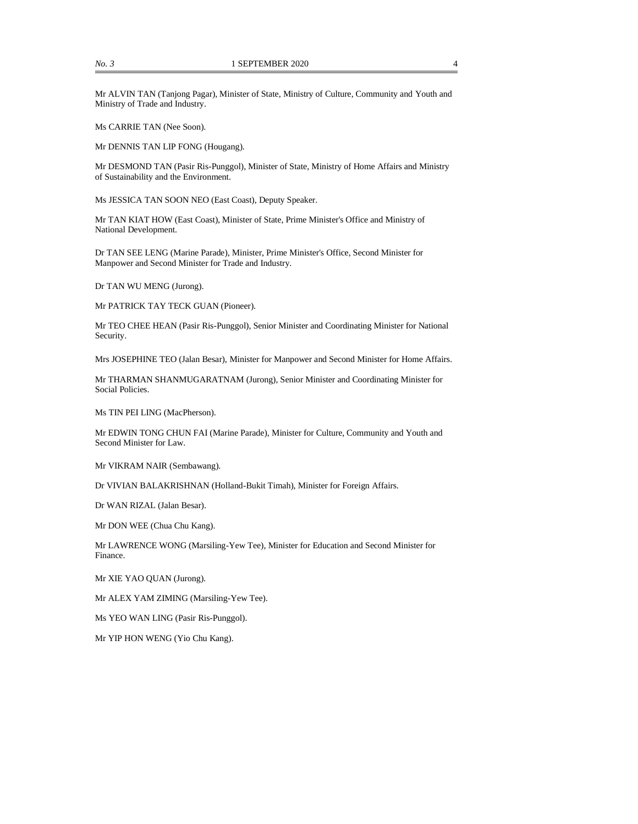Mr ALVIN TAN (Tanjong Pagar), Minister of State, Ministry of Culture, Community and Youth and Ministry of Trade and Industry.

Ms CARRIE TAN (Nee Soon).

Mr DENNIS TAN LIP FONG (Hougang).

Mr DESMOND TAN (Pasir Ris-Punggol), Minister of State, Ministry of Home Affairs and Ministry of Sustainability and the Environment.

Ms JESSICA TAN SOON NEO (East Coast), Deputy Speaker.

Mr TAN KIAT HOW (East Coast), Minister of State, Prime Minister's Office and Ministry of National Development.

Dr TAN SEE LENG (Marine Parade), Minister, Prime Minister's Office, Second Minister for Manpower and Second Minister for Trade and Industry.

Dr TAN WU MENG (Jurong).

Mr PATRICK TAY TECK GUAN (Pioneer).

Mr TEO CHEE HEAN (Pasir Ris-Punggol), Senior Minister and Coordinating Minister for National Security.

Mrs JOSEPHINE TEO (Jalan Besar), Minister for Manpower and Second Minister for Home Affairs.

Mr THARMAN SHANMUGARATNAM (Jurong), Senior Minister and Coordinating Minister for Social Policies.

Ms TIN PEI LING (MacPherson).

Mr EDWIN TONG CHUN FAI (Marine Parade), Minister for Culture, Community and Youth and Second Minister for Law.

Mr VIKRAM NAIR (Sembawang).

Dr VIVIAN BALAKRISHNAN (Holland-Bukit Timah), Minister for Foreign Affairs.

Dr WAN RIZAL (Jalan Besar).

Mr DON WEE (Chua Chu Kang).

Mr LAWRENCE WONG (Marsiling-Yew Tee), Minister for Education and Second Minister for Finance.

Mr XIE YAO QUAN (Jurong).

Mr ALEX YAM ZIMING (Marsiling-Yew Tee).

Ms YEO WAN LING (Pasir Ris-Punggol).

Mr YIP HON WENG (Yio Chu Kang).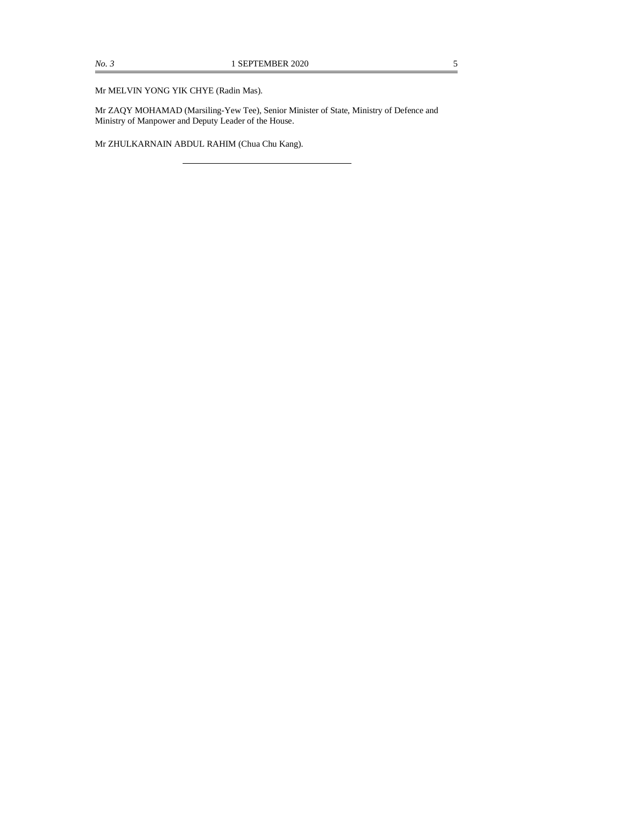#### Mr MELVIN YONG YIK CHYE (Radin Mas).

Mr ZAQY MOHAMAD (Marsiling-Yew Tee), Senior Minister of State, Ministry of Defence and Ministry of Manpower and Deputy Leader of the House.

Mr ZHULKARNAIN ABDUL RAHIM (Chua Chu Kang).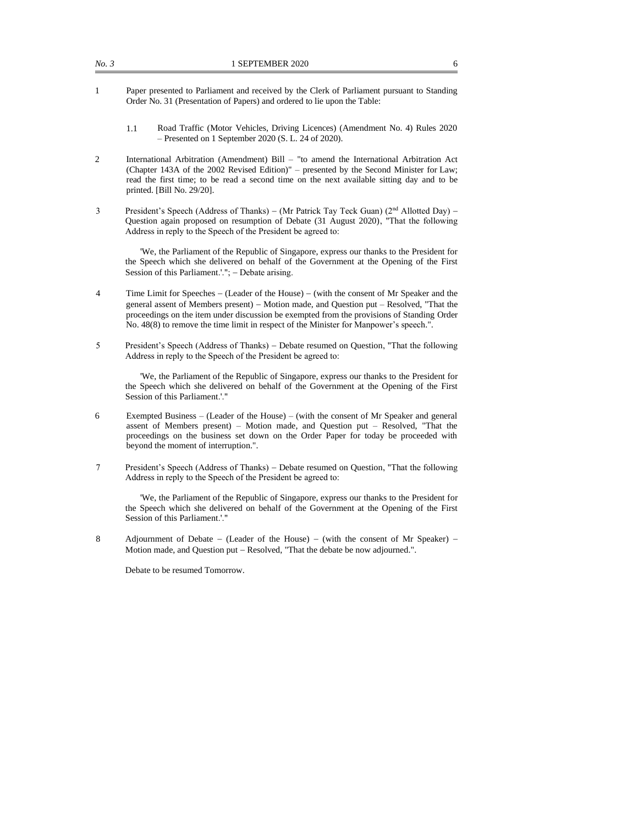- 1 Paper presented to Parliament and received by the Clerk of Parliament pursuant to Standing Order No. 31 (Presentation of Papers) and ordered to lie upon the Table:
	- 1.1 Road Traffic (Motor Vehicles, Driving Licences) (Amendment No. 4) Rules 2020 – Presented on 1 September 2020 (S. L. 24 of 2020).
- 2 International Arbitration (Amendment) Bill "to amend the International Arbitration Act (Chapter 143A of the 2002 Revised Edition)" – presented by the Second Minister for Law; read the first time; to be read a second time on the next available sitting day and to be printed. [Bill No. 29/20].
- 3 President's Speech (Address of Thanks) (Mr Patrick Tay Teck Guan) (2<sup>nd</sup> Allotted Day) Question again proposed on resumption of Debate (31 August 2020), "That the following Address in reply to the Speech of the President be agreed to:

'We, the Parliament of the Republic of Singapore, express our thanks to the President for the Speech which she delivered on behalf of the Government at the Opening of the First Session of this Parliament.'."; – Debate arising.

- 4 Time Limit for Speeches − (Leader of the House) − (with the consent of Mr Speaker and the general assent of Members present) – Motion made, and Question put – Resolved, "That the proceedings on the item under discussion be exempted from the provisions of Standing Order No. 48(8) to remove the time limit in respect of the Minister for Manpower's speech.".
- 5 President's Speech (Address of Thanks) − Debate resumed on Question, "That the following Address in reply to the Speech of the President be agreed to:

'We, the Parliament of the Republic of Singapore, express our thanks to the President for the Speech which she delivered on behalf of the Government at the Opening of the First Session of this Parliament.'."

- 6 Exempted Business (Leader of the House) (with the consent of Mr Speaker and general assent of Members present) – Motion made, and Question put – Resolved, "That the proceedings on the business set down on the Order Paper for today be proceeded with beyond the moment of interruption.".
- 7 President's Speech (Address of Thanks) − Debate resumed on Question, "That the following Address in reply to the Speech of the President be agreed to:

'We, the Parliament of the Republic of Singapore, express our thanks to the President for the Speech which she delivered on behalf of the Government at the Opening of the First Session of this Parliament.'."

8 Adjournment of Debate − (Leader of the House) − (with the consent of Mr Speaker) − Motion made, and Question put − Resolved, "That the debate be now adjourned.".

Debate to be resumed Tomorrow.